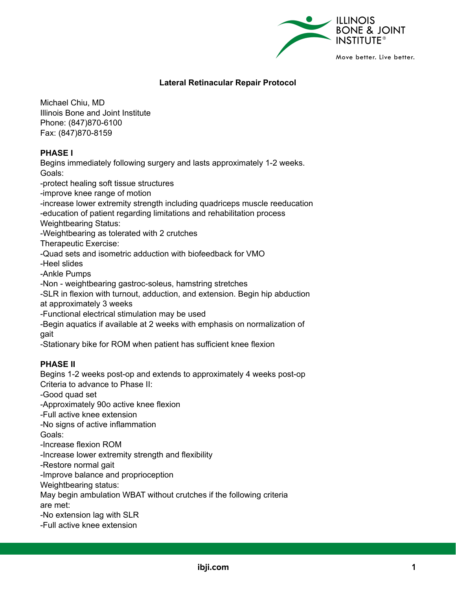

# **Lateral Retinacular Repair Protocol**

Michael Chiu, MD Illinois Bone and Joint Institute Phone: (847)870-6100 Fax: (847)870-8159

# **PHASE I**

Begins immediately following surgery and lasts approximately 1-2 weeks. Goals:

-protect healing soft tissue structures

-improve knee range of motion

-increase lower extremity strength including quadriceps muscle reeducation

-education of patient regarding limitations and rehabilitation process

Weightbearing Status:

-Weightbearing as tolerated with 2 crutches

Therapeutic Exercise:

-Quad sets and isometric adduction with biofeedback for VMO

-Heel slides

-Ankle Pumps

-Non - weightbearing gastroc-soleus, hamstring stretches

-SLR in flexion with turnout, adduction, and extension. Begin hip abduction at approximately 3 weeks

-Functional electrical stimulation may be used

-Begin aquatics if available at 2 weeks with emphasis on normalization of gait

-Stationary bike for ROM when patient has sufficient knee flexion

# **PHASE II**

Begins 1-2 weeks post-op and extends to approximately 4 weeks post-op Criteria to advance to Phase II:

-Good quad set

-Approximately 90o active knee flexion

-Full active knee extension

-No signs of active inflammation

Goals:

-Increase flexion ROM

-Increase lower extremity strength and flexibility

-Restore normal gait

-Improve balance and proprioception

Weightbearing status:

May begin ambulation WBAT without crutches if the following criteria

are met:

-No extension lag with SLR

-Full active knee extension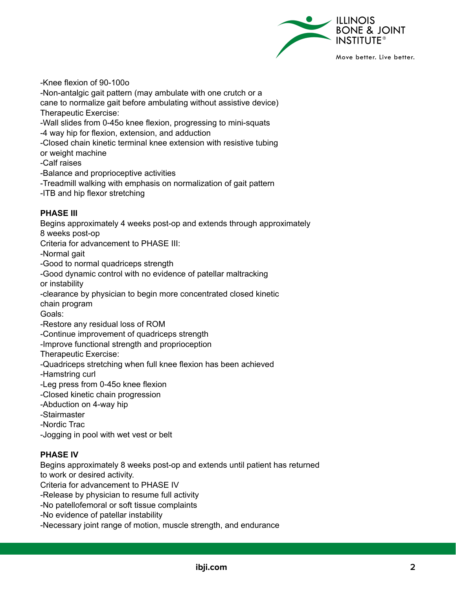

-Knee flexion of 90-100o

-Non-antalgic gait pattern (may ambulate with one crutch or a cane to normalize gait before ambulating without assistive device) Therapeutic Exercise:

-Wall slides from 0-45o knee flexion, progressing to mini-squats -4 way hip for flexion, extension, and adduction

-Closed chain kinetic terminal knee extension with resistive tubing or weight machine

-Calf raises

-Balance and proprioceptive activities

-Treadmill walking with emphasis on normalization of gait pattern

-ITB and hip flexor stretching

# **PHASE III**

Begins approximately 4 weeks post-op and extends through approximately 8 weeks post-op Criteria for advancement to PHASE III: -Normal gait -Good to normal quadriceps strength -Good dynamic control with no evidence of patellar maltracking or instability -clearance by physician to begin more concentrated closed kinetic chain program Goals: -Restore any residual loss of ROM -Continue improvement of quadriceps strength -Improve functional strength and proprioception Therapeutic Exercise: -Quadriceps stretching when full knee flexion has been achieved -Hamstring curl

-Leg press from 0-45o knee flexion

-Closed kinetic chain progression

-Abduction on 4-way hip

-Stairmaster

-Nordic Trac

-Jogging in pool with wet vest or belt

# **PHASE IV**

Begins approximately 8 weeks post-op and extends until patient has returned to work or desired activity.

Criteria for advancement to PHASE IV

-Release by physician to resume full activity

-No patellofemoral or soft tissue complaints

-No evidence of patellar instability

-Necessary joint range of motion, muscle strength, and endurance